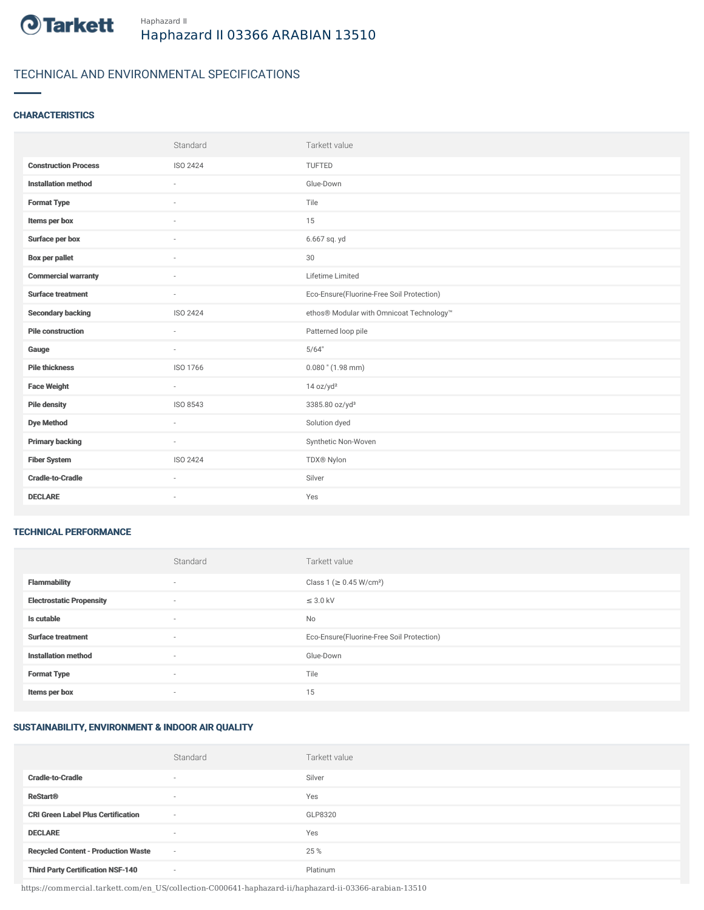

# TECHNICAL AND ENVIRONMENTAL SPECIFICATIONS

### **CHARACTERISTICS**

|                             | Standard                 | Tarkett value                             |
|-----------------------------|--------------------------|-------------------------------------------|
| <b>Construction Process</b> | <b>ISO 2424</b>          | TUFTED                                    |
| <b>Installation method</b>  | ×                        | Glue-Down                                 |
| <b>Format Type</b>          |                          | Tile                                      |
| Items per box               | $\overline{\phantom{a}}$ | 15                                        |
| Surface per box             | $\sim$                   | 6.667 sq. yd                              |
| <b>Box per pallet</b>       | $\sim$                   | 30                                        |
| <b>Commercial warranty</b>  | $\sim$                   | Lifetime Limited                          |
| <b>Surface treatment</b>    | $\sim$                   | Eco-Ensure(Fluorine-Free Soil Protection) |
| <b>Secondary backing</b>    | ISO 2424                 | ethos® Modular with Omnicoat Technology™  |
| <b>Pile construction</b>    | ۰                        | Patterned loop pile                       |
| Gauge                       | ×                        | 5/64"                                     |
| <b>Pile thickness</b>       | ISO 1766                 | $0.080$ " (1.98 mm)                       |
| <b>Face Weight</b>          | $\bar{a}$                | 14 oz/yd <sup>2</sup>                     |
| <b>Pile density</b>         | ISO 8543                 | 3385.80 oz/yd <sup>3</sup>                |
| <b>Dye Method</b>           | $\sim$                   | Solution dyed                             |
| <b>Primary backing</b>      | $\sim$                   | Synthetic Non-Woven                       |
| <b>Fiber System</b>         | ISO 2424                 | TDX® Nylon                                |
| <b>Cradle-to-Cradle</b>     |                          | Silver                                    |
| <b>DECLARE</b>              | $\sim$                   | Yes                                       |

#### TECHNICAL PERFORMANCE

|                                 | Standard                 | Tarkett value                             |
|---------------------------------|--------------------------|-------------------------------------------|
| <b>Flammability</b>             | ۰                        | Class 1 (≥ 0.45 W/cm <sup>2</sup> )       |
| <b>Electrostatic Propensity</b> | $\overline{\phantom{a}}$ | $\leq$ 3.0 kV                             |
| Is cutable                      | $\sim$                   | <b>No</b>                                 |
| <b>Surface treatment</b>        | $\sim$                   | Eco-Ensure(Fluorine-Free Soil Protection) |
| <b>Installation method</b>      | $\sim$                   | Glue-Down                                 |
| <b>Format Type</b>              | $\overline{\phantom{a}}$ | Tile                                      |
| Items per box                   | $\overline{\phantom{a}}$ | 15                                        |

## SUSTAINABILITY, ENVIRONMENT & INDOOR AIR QUALITY

|                                            | Standard                 | Tarkett value |
|--------------------------------------------|--------------------------|---------------|
| <b>Cradle-to-Cradle</b>                    | $\overline{\phantom{a}}$ | Silver        |
| <b>ReStart®</b>                            | $\overline{\phantom{a}}$ | Yes           |
| <b>CRI Green Label Plus Certification</b>  | $\overline{\phantom{a}}$ | GLP8320       |
| <b>DECLARE</b>                             | $\overline{\phantom{a}}$ | Yes           |
| <b>Recycled Content - Production Waste</b> | $\sim$                   | 25 %          |
| <b>Third Party Certification NSF-140</b>   | $\sim$                   | Platinum      |

https://commercial.tarkett.com/en\_US/collection-C000641-haphazard-ii/haphazard-ii-03366-arabian-13510